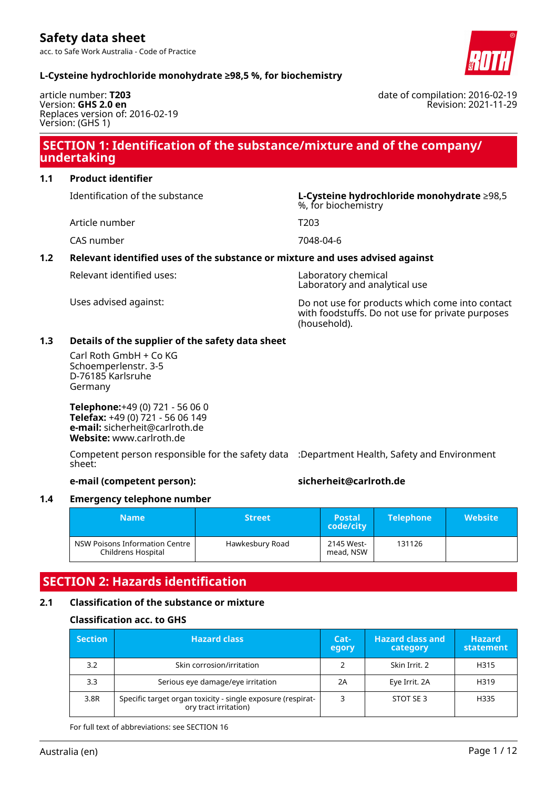acc. to Safe Work Australia - Code of Practice



date of compilation: 2016-02-19

Revision: 2021-11-29

### **L-Cysteine hydrochloride monohydrate ≥98,5 %, for biochemistry**

article number: **T203** Version: **GHS 2.0 en** Replaces version of: 2016-02-19 Version: (GHS 1)

### **SECTION 1: Identification of the substance/mixture and of the company/ undertaking**

### **1.1 Product identifier**

Identification of the substance **L-Cysteine hydrochloride monohydrate** ≥98,5

Article number T203

CAS number 7048-04-6

### **1.2 Relevant identified uses of the substance or mixture and uses advised against**

Relevant identified uses: Laboratory chemical

Laboratory and analytical use

%, for biochemistry

Uses advised against: Do not use for products which come into contact with foodstuffs. Do not use for private purposes (household).

#### **1.3 Details of the supplier of the safety data sheet**

Carl Roth GmbH + Co KG Schoemperlenstr. 3-5 D-76185 Karlsruhe Germany

**Telephone:**+49 (0) 721 - 56 06 0 **Telefax:** +49 (0) 721 - 56 06 149 **e-mail:** sicherheit@carlroth.de **Website:** www.carlroth.de

Competent person responsible for the safety data :Department Health, Safety and Environment sheet:

### **e-mail (competent person): sicherheit@carlroth.de**

### **1.4 Emergency telephone number**

| Name                                                 | <b>Street</b>   | <b>Postal</b><br>code/city | <b>Telephone</b> | <b>Website</b> |
|------------------------------------------------------|-----------------|----------------------------|------------------|----------------|
| NSW Poisons Information Centre<br>Childrens Hospital | Hawkesbury Road | 2145 West-<br>mead, NSW    | 131126           |                |

# **SECTION 2: Hazards identification**

### **2.1 Classification of the substance or mixture**

### **Classification acc. to GHS**

| <b>Section</b> | <b>Hazard class</b>                                                                  | Cat-<br>egory | <b>Hazard class and</b><br>category | <b>Hazard</b><br>statement |
|----------------|--------------------------------------------------------------------------------------|---------------|-------------------------------------|----------------------------|
| 3.2            | Skin corrosion/irritation                                                            |               | Skin Irrit, 2                       | H315                       |
| 3.3            | Serious eye damage/eye irritation                                                    | 2A            | Eye Irrit. 2A                       | H319                       |
| 3.8R           | Specific target organ toxicity - single exposure (respirat-<br>ory tract irritation) |               | STOT SE 3                           | H335                       |

For full text of abbreviations: see SECTION 16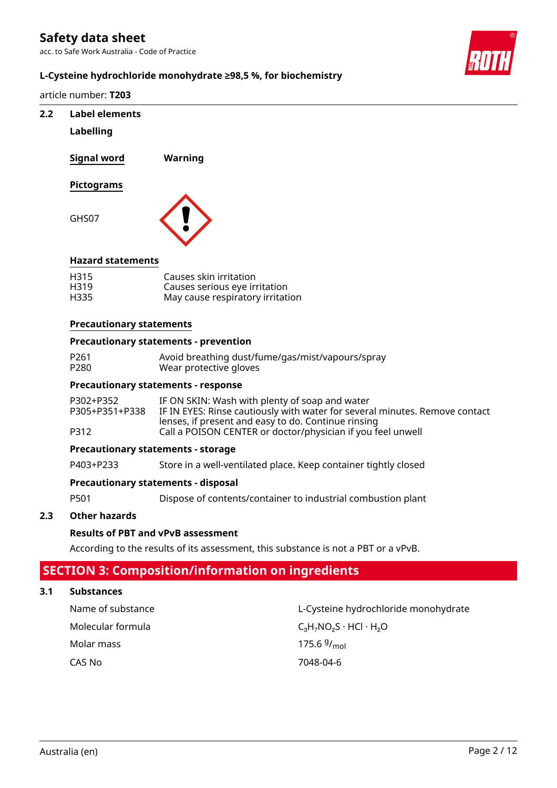acc. to Safe Work Australia - Code of Practice



### **L-Cysteine hydrochloride monohydrate ≥98,5 %, for biochemistry**

article number: **T203**

### **2.2 Label elements**

### **Labelling**

GHS07

**Signal word Warning**



### **Hazard statements**

| H <sub>315</sub> | Causes skin irritation           |
|------------------|----------------------------------|
| H319             | Causes serious eye irritation    |
| H335             | May cause respiratory irritation |

### **Precautionary statements**

### **Precautionary statements - prevention**

| P261 | Avoid breathing dust/fume/gas/mist/vapours/spray |
|------|--------------------------------------------------|
| P280 | Wear protective gloves                           |

### **Precautionary statements - response**

| P302+P352      | IF ON SKIN: Wash with plenty of soap and water                              |
|----------------|-----------------------------------------------------------------------------|
| P305+P351+P338 | IF IN EYES: Rinse cautiously with water for several minutes. Remove contact |
|                | lenses, if present and easy to do. Continue rinsing                         |
| P312           | Call a POISON CENTER or doctor/physician if you feel unwell                 |

### **Precautionary statements - storage**

P403+P233 Store in a well-ventilated place. Keep container tightly closed

### **Precautionary statements - disposal**

P501 Dispose of contents/container to industrial combustion plant

### **2.3 Other hazards**

### **Results of PBT and vPvB assessment**

According to the results of its assessment, this substance is not a PBT or a vPvB.

# **SECTION 3: Composition/information on ingredients**

### **3.1 Substances**

Molar mass

Name of substance L-Cysteine hydrochloride monohydrate Molecular formula  $C_3H_7NO_2S \cdot HCl \cdot H_2O$ 175.6 $9/_{mol}$ CAS No 7048-04-6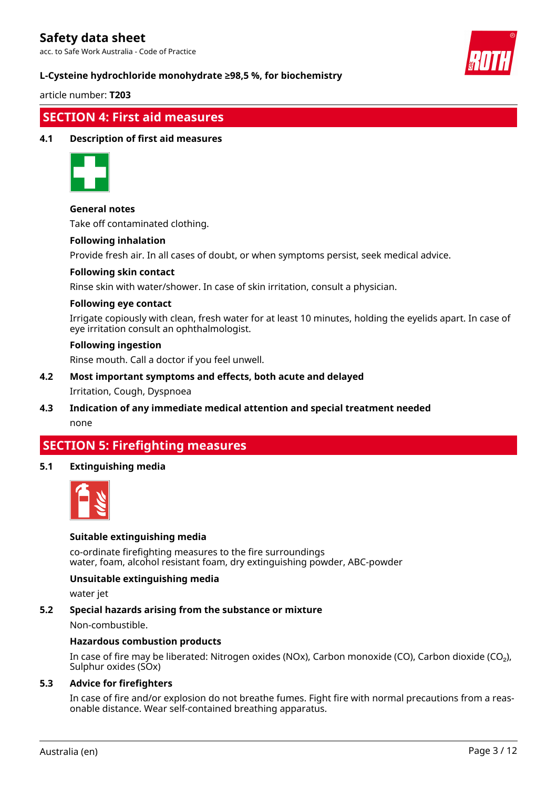acc. to Safe Work Australia - Code of Practice



### **L-Cysteine hydrochloride monohydrate ≥98,5 %, for biochemistry**

article number: **T203**

### **SECTION 4: First aid measures**

### **4.1 Description of first aid measures**



### **General notes**

Take off contaminated clothing.

#### **Following inhalation**

Provide fresh air. In all cases of doubt, or when symptoms persist, seek medical advice.

#### **Following skin contact**

Rinse skin with water/shower. In case of skin irritation, consult a physician.

### **Following eye contact**

Irrigate copiously with clean, fresh water for at least 10 minutes, holding the eyelids apart. In case of eye irritation consult an ophthalmologist.

### **Following ingestion**

Rinse mouth. Call a doctor if you feel unwell.

# **4.2 Most important symptoms and effects, both acute and delayed**

Irritation, Cough, Dyspnoea

### **4.3 Indication of any immediate medical attention and special treatment needed** none

# **SECTION 5: Firefighting measures**

### **5.1 Extinguishing media**



### **Suitable extinguishing media**

co-ordinate firefighting measures to the fire surroundings water, foam, alcohol resistant foam, dry extinguishing powder, ABC-powder

### **Unsuitable extinguishing media**

water jet

### **5.2 Special hazards arising from the substance or mixture**

Non-combustible.

#### **Hazardous combustion products**

In case of fire may be liberated: Nitrogen oxides (NOx), Carbon monoxide (CO), Carbon dioxide (CO₂), Sulphur oxides (SOx)

### **5.3 Advice for firefighters**

In case of fire and/or explosion do not breathe fumes. Fight fire with normal precautions from a reasonable distance. Wear self-contained breathing apparatus.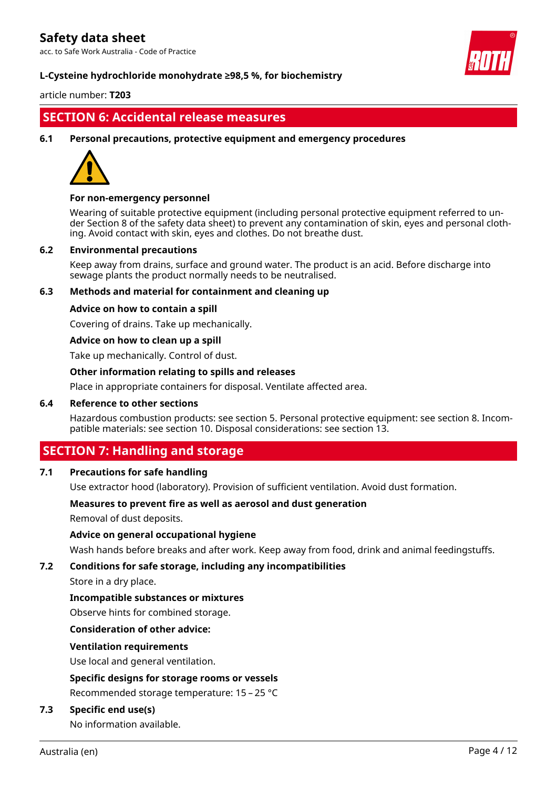acc. to Safe Work Australia - Code of Practice



### **L-Cysteine hydrochloride monohydrate ≥98,5 %, for biochemistry**

article number: **T203**

### **SECTION 6: Accidental release measures**

**6.1 Personal precautions, protective equipment and emergency procedures**



### **For non-emergency personnel**

Wearing of suitable protective equipment (including personal protective equipment referred to under Section 8 of the safety data sheet) to prevent any contamination of skin, eyes and personal clothing. Avoid contact with skin, eyes and clothes. Do not breathe dust.

### **6.2 Environmental precautions**

Keep away from drains, surface and ground water. The product is an acid. Before discharge into sewage plants the product normally needs to be neutralised.

### **6.3 Methods and material for containment and cleaning up**

#### **Advice on how to contain a spill**

Covering of drains. Take up mechanically.

### **Advice on how to clean up a spill**

Take up mechanically. Control of dust.

#### **Other information relating to spills and releases**

Place in appropriate containers for disposal. Ventilate affected area.

#### **6.4 Reference to other sections**

Hazardous combustion products: see section 5. Personal protective equipment: see section 8. Incompatible materials: see section 10. Disposal considerations: see section 13.

### **SECTION 7: Handling and storage**

### **7.1 Precautions for safe handling**

Use extractor hood (laboratory). Provision of sufficient ventilation. Avoid dust formation.

### **Measures to prevent fire as well as aerosol and dust generation**

Removal of dust deposits.

### **Advice on general occupational hygiene**

Wash hands before breaks and after work. Keep away from food, drink and animal feedingstuffs.

### **7.2 Conditions for safe storage, including any incompatibilities**

Store in a dry place.

### **Incompatible substances or mixtures**

Observe hints for combined storage.

### **Consideration of other advice:**

#### **Ventilation requirements**

Use local and general ventilation.

#### **Specific designs for storage rooms or vessels**

Recommended storage temperature: 15 – 25 °C

### **7.3 Specific end use(s)**

No information available.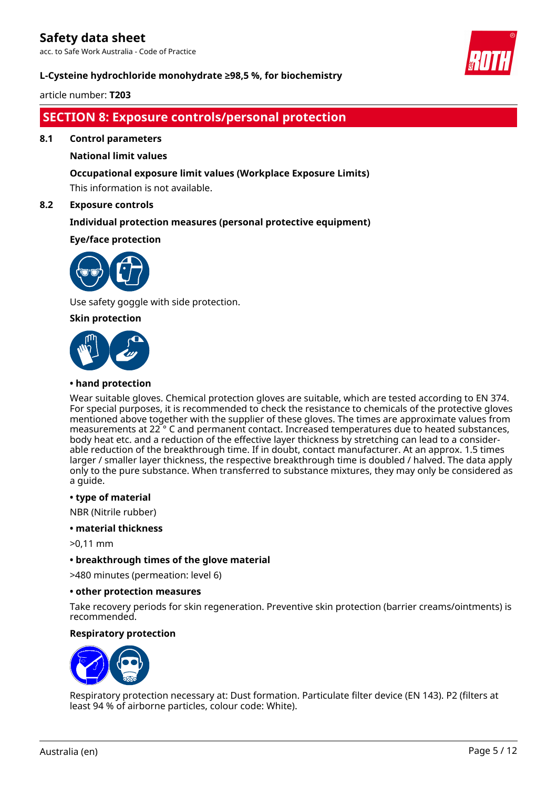acc. to Safe Work Australia - Code of Practice



### **L-Cysteine hydrochloride monohydrate ≥98,5 %, for biochemistry**

article number: **T203**

# **SECTION 8: Exposure controls/personal protection**

**8.1 Control parameters**

### **National limit values**

### **Occupational exposure limit values (Workplace Exposure Limits)**

This information is not available.

### **8.2 Exposure controls**

### **Individual protection measures (personal protective equipment)**

### **Eye/face protection**



Use safety goggle with side protection.

### **Skin protection**



### **• hand protection**

Wear suitable gloves. Chemical protection gloves are suitable, which are tested according to EN 374. For special purposes, it is recommended to check the resistance to chemicals of the protective gloves mentioned above together with the supplier of these gloves. The times are approximate values from measurements at 22 ° C and permanent contact. Increased temperatures due to heated substances, body heat etc. and a reduction of the effective layer thickness by stretching can lead to a considerable reduction of the breakthrough time. If in doubt, contact manufacturer. At an approx. 1.5 times larger / smaller layer thickness, the respective breakthrough time is doubled / halved. The data apply only to the pure substance. When transferred to substance mixtures, they may only be considered as a guide.

### **• type of material**

NBR (Nitrile rubber)

### **• material thickness**

>0,11 mm

### **• breakthrough times of the glove material**

>480 minutes (permeation: level 6)

### **• other protection measures**

Take recovery periods for skin regeneration. Preventive skin protection (barrier creams/ointments) is recommended.

### **Respiratory protection**



Respiratory protection necessary at: Dust formation. Particulate filter device (EN 143). P2 (filters at least 94 % of airborne particles, colour code: White).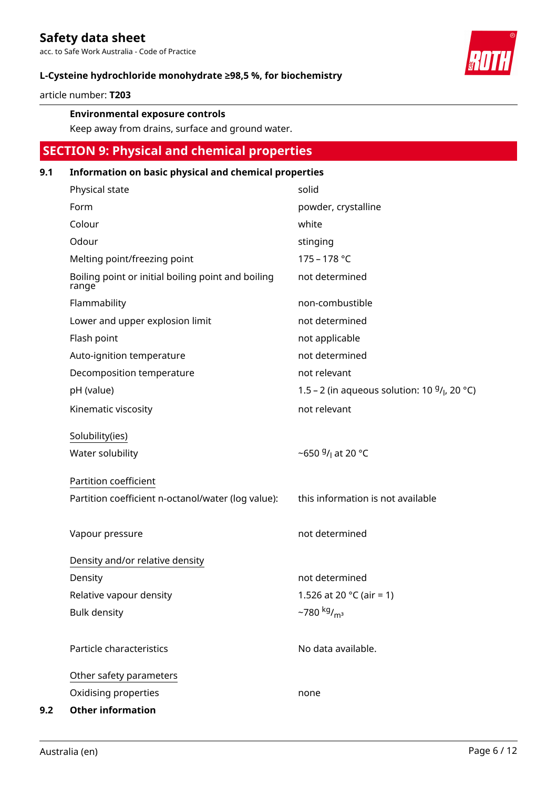acc. to Safe Work Australia - Code of Practice



article number: **T203**

### **Environmental exposure controls**

Keep away from drains, surface and ground water.

# **SECTION 9: Physical and chemical properties**

### **9.1 Information on basic physical and chemical properties**

|     | Physical state                                              | solid                                                       |
|-----|-------------------------------------------------------------|-------------------------------------------------------------|
|     | Form                                                        | powder, crystalline                                         |
|     | Colour                                                      | white                                                       |
|     | Odour                                                       | stinging                                                    |
|     | Melting point/freezing point                                | 175 - 178 °C                                                |
|     | Boiling point or initial boiling point and boiling<br>range | not determined                                              |
|     | Flammability                                                | non-combustible                                             |
|     | Lower and upper explosion limit                             | not determined                                              |
|     | Flash point                                                 | not applicable                                              |
|     | Auto-ignition temperature                                   | not determined                                              |
|     | Decomposition temperature                                   | not relevant                                                |
|     | pH (value)                                                  | 1.5 - 2 (in aqueous solution: 10 $9/$ <sub>l</sub> , 20 °C) |
|     | Kinematic viscosity                                         | not relevant                                                |
|     | Solubility(ies)<br>Water solubility                         | ~650 $9/$ <sub>1</sub> at 20 °C                             |
|     | Partition coefficient                                       |                                                             |
|     | Partition coefficient n-octanol/water (log value):          | this information is not available                           |
|     | Vapour pressure                                             | not determined                                              |
|     | Density and/or relative density                             |                                                             |
|     | Density                                                     | not determined                                              |
|     | Relative vapour density                                     | 1.526 at 20 $^{\circ}$ C (air = 1)                          |
|     | <b>Bulk density</b>                                         | $-780$ kg/ <sub>m<sup>3</sup></sub>                         |
|     | Particle characteristics                                    | No data available.                                          |
|     | Other safety parameters                                     |                                                             |
|     | Oxidising properties                                        | none                                                        |
| 9.2 | <b>Other information</b>                                    |                                                             |

Australia (en) Page 6 / 12

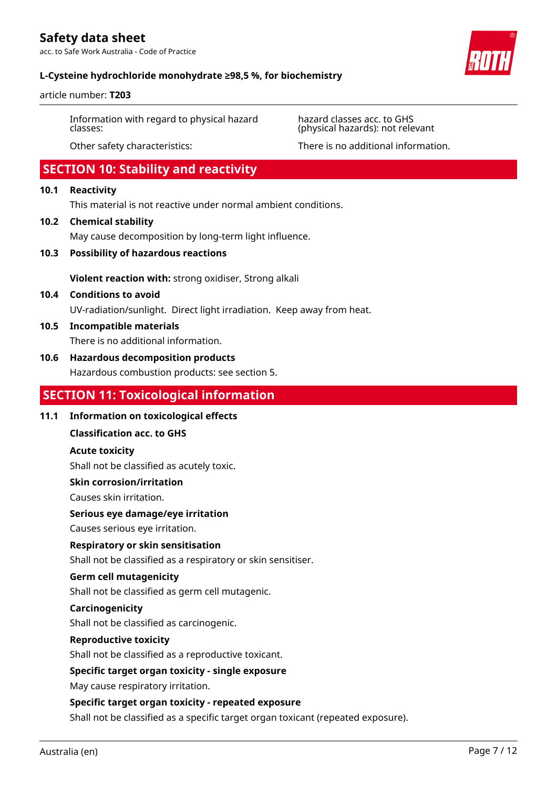acc. to Safe Work Australia - Code of Practice



### **L-Cysteine hydrochloride monohydrate ≥98,5 %, for biochemistry**

article number: **T203**

Information with regard to physical hazard classes:

hazard classes acc. to GHS (physical hazards): not relevant

Other safety characteristics: There is no additional information.

# **SECTION 10: Stability and reactivity**

### **10.1 Reactivity**

This material is not reactive under normal ambient conditions.

### **10.2 Chemical stability**

May cause decomposition by long-term light influence.

**10.3 Possibility of hazardous reactions**

**Violent reaction with:** strong oxidiser, Strong alkali

# **10.4 Conditions to avoid**

UV-radiation/sunlight. Direct light irradiation. Keep away from heat.

**10.5 Incompatible materials** There is no additional information.

### **10.6 Hazardous decomposition products**

Hazardous combustion products: see section 5.

### **SECTION 11: Toxicological information**

### **11.1 Information on toxicological effects**

**Classification acc. to GHS**

### **Acute toxicity**

Shall not be classified as acutely toxic.

### **Skin corrosion/irritation**

Causes skin irritation.

### **Serious eye damage/eye irritation**

Causes serious eye irritation.

### **Respiratory or skin sensitisation**

Shall not be classified as a respiratory or skin sensitiser.

### **Germ cell mutagenicity**

Shall not be classified as germ cell mutagenic.

### **Carcinogenicity**

Shall not be classified as carcinogenic.

### **Reproductive toxicity**

Shall not be classified as a reproductive toxicant.

### **Specific target organ toxicity - single exposure**

May cause respiratory irritation.

### **Specific target organ toxicity - repeated exposure**

Shall not be classified as a specific target organ toxicant (repeated exposure).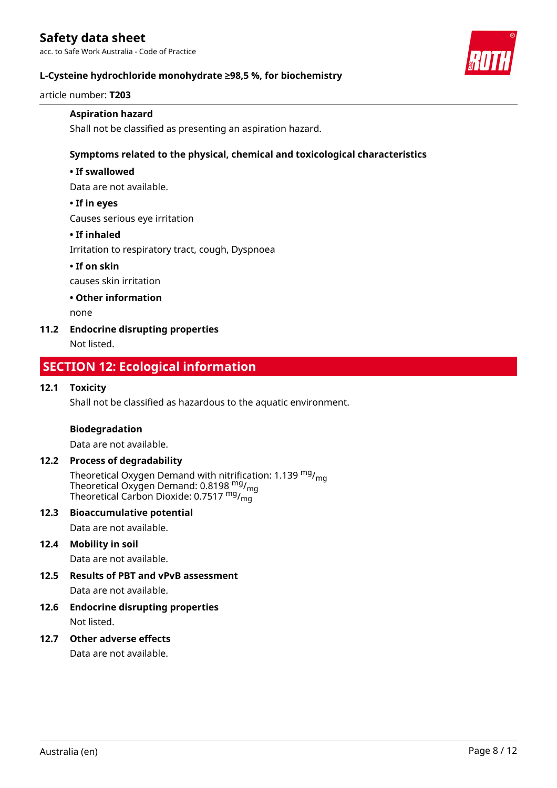acc. to Safe Work Australia - Code of Practice



### **L-Cysteine hydrochloride monohydrate ≥98,5 %, for biochemistry**

article number: **T203**

### **Aspiration hazard**

Shall not be classified as presenting an aspiration hazard.

### **Symptoms related to the physical, chemical and toxicological characteristics**

### **• If swallowed**

Data are not available.

#### **• If in eyes**

Causes serious eye irritation

### **• If inhaled**

Irritation to respiratory tract, cough, Dyspnoea

### **• If on skin**

causes skin irritation

### **• Other information**

none

### **11.2 Endocrine disrupting properties**

Not listed.

# **SECTION 12: Ecological information**

### **12.1 Toxicity**

Shall not be classified as hazardous to the aquatic environment.

### **Biodegradation**

Data are not available.

### **12.2 Process of degradability**

Theoretical Oxygen Demand with nitrification: 1.139  $^{\mathsf{mg}}\prime_{\mathsf{mg}}$ Theoretical Oxygen Demand: 0.8198 <sup>mg</sup>/<sub>mg</sub> Theoretical Carbon Dioxide: 0.7517  $^{\mathsf{mg}}$ / $^{\mathsf{mg}}_{\mathsf{mg}}$ 

### **12.3 Bioaccumulative potential**

Data are not available.

### **12.4 Mobility in soil**

Data are not available.

### **12.5 Results of PBT and vPvB assessment**

Data are not available.

# **12.6 Endocrine disrupting properties**

Not listed.

### **12.7 Other adverse effects**

Data are not available.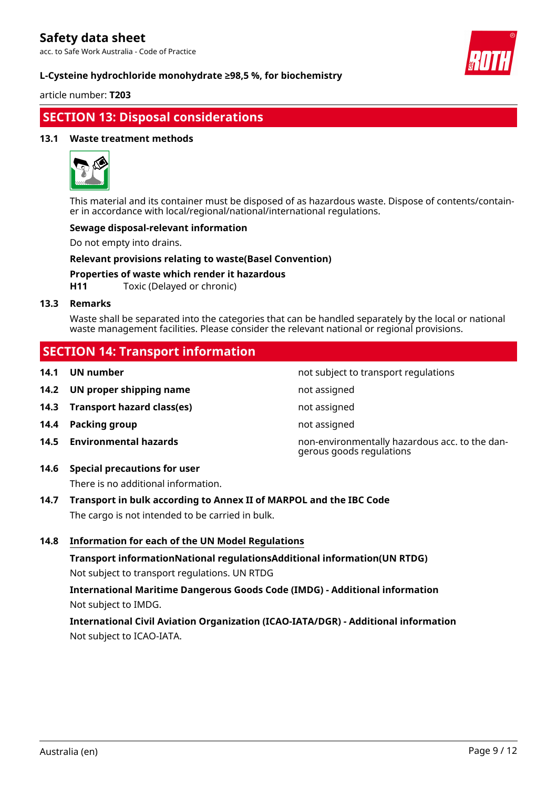acc. to Safe Work Australia - Code of Practice



### **L-Cysteine hydrochloride monohydrate ≥98,5 %, for biochemistry**

article number: **T203**

# **SECTION 13: Disposal considerations**

### **13.1 Waste treatment methods**



This material and its container must be disposed of as hazardous waste. Dispose of contents/container in accordance with local/regional/national/international regulations.

### **Sewage disposal-relevant information**

Do not empty into drains.

### **Relevant provisions relating to waste(Basel Convention)**

**Properties of waste which render it hazardous**

**H11** Toxic (Delayed or chronic)

### **13.3 Remarks**

Waste shall be separated into the categories that can be handled separately by the local or national waste management facilities. Please consider the relevant national or regional provisions.

# **SECTION 14: Transport information**

- **14.1 UN number 12.1 UN** number
- **14.2 UN proper shipping name** not assigned
- **14.3 Transport hazard class(es)** not assigned
- **14.4 Packing group not assigned**
- 

**14.5 Environmental hazards** non-environmentally hazardous acc. to the dangerous goods regulations

**14.6 Special precautions for user**

There is no additional information.

- **14.7 Transport in bulk according to Annex II of MARPOL and the IBC Code** The cargo is not intended to be carried in bulk.
- **14.8 Information for each of the UN Model Regulations**

**Transport informationNational regulationsAdditional information(UN RTDG)** Not subject to transport regulations. UN RTDG

**International Maritime Dangerous Goods Code (IMDG) - Additional information** Not subject to IMDG.

**International Civil Aviation Organization (ICAO-IATA/DGR) - Additional information** Not subject to ICAO-IATA.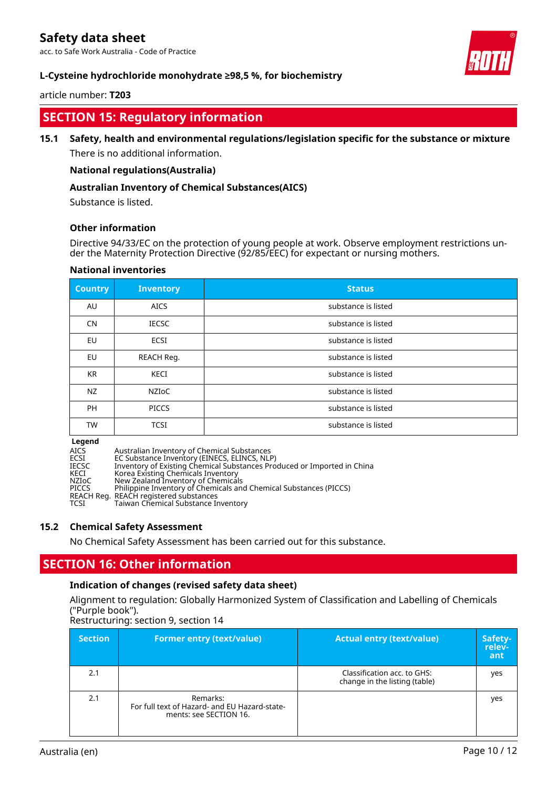acc. to Safe Work Australia - Code of Practice

### **L-Cysteine hydrochloride monohydrate ≥98,5 %, for biochemistry**

### article number: **T203**

# **SECTION 15: Regulatory information**

### **15.1 Safety, health and environmental regulations/legislation specific for the substance or mixture**

There is no additional information.

### **National regulations(Australia)**

### **Australian Inventory of Chemical Substances(AICS)**

Substance is listed.

#### **Other information**

Directive 94/33/EC on the protection of young people at work. Observe employment restrictions under the Maternity Protection Directive (92/85/EEC) for expectant or nursing mothers.

| <b>Country</b> | <b>Inventory</b> | <b>Status</b>       |
|----------------|------------------|---------------------|
| AU             | <b>AICS</b>      | substance is listed |
| <b>CN</b>      | <b>IECSC</b>     | substance is listed |
| EU             | ECSI             | substance is listed |
| EU             | REACH Reg.       | substance is listed |
| <b>KR</b>      | KECI             | substance is listed |
| <b>NZ</b>      | NZIoC            | substance is listed |
| <b>PH</b>      | <b>PICCS</b>     | substance is listed |
| <b>TW</b>      | <b>TCSI</b>      | substance is listed |

#### **National inventories**

**Legend**

AICS Australian Inventory of Chemical Substances ECSI EC Substance Inventory (EINECS, ELINCS, NLP) IECSC Inventory of Existing Chemical Substances Produced or Imported in China KECI Korea Existing Chemicals Inventory NZIoC New Zealand Inventory of Chemicals PICCS Philippine Inventory of Chemicals and Chemical Substances (PICCS) REACH Reg. REACH registered substances<br>TCSI Taiwan Chemical Substance In Taiwan Chemical Substance Inventory

### **15.2 Chemical Safety Assessment**

No Chemical Safety Assessment has been carried out for this substance.

### **SECTION 16: Other information**

#### **Indication of changes (revised safety data sheet)**

Alignment to regulation: Globally Harmonized System of Classification and Labelling of Chemicals ("Purple book").

Restructuring: section 9, section 14

| <b>Section</b> | <b>Former entry (text/value)</b>                                                    | <b>Actual entry (text/value)</b>                             | Safety-<br>relev-<br>ant |
|----------------|-------------------------------------------------------------------------------------|--------------------------------------------------------------|--------------------------|
| 2.1            |                                                                                     | Classification acc. to GHS:<br>change in the listing (table) | yes                      |
| 2.1            | Remarks:<br>For full text of Hazard- and EU Hazard-state-<br>ments: see SECTION 16. |                                                              | yes                      |

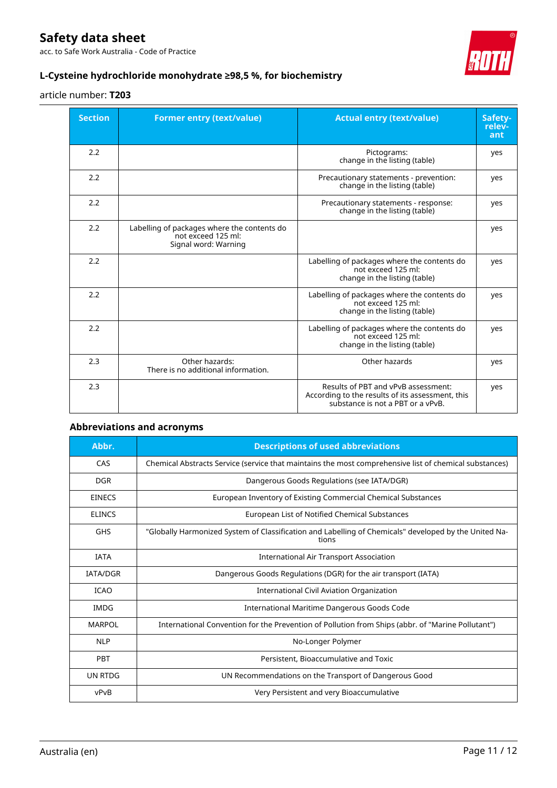acc. to Safe Work Australia - Code of Practice



### **L-Cysteine hydrochloride monohydrate ≥98,5 %, for biochemistry**

### article number: **T203**

| <b>Section</b> | <b>Former entry (text/value)</b>                                                          | <b>Actual entry (text/value)</b>                                                                                             | Safety-<br>relev-<br>ant |
|----------------|-------------------------------------------------------------------------------------------|------------------------------------------------------------------------------------------------------------------------------|--------------------------|
| 2.2            |                                                                                           | Pictograms:<br>change in the listing (table)                                                                                 | yes                      |
| 2.2            |                                                                                           | Precautionary statements - prevention:<br>change in the listing (table)                                                      | yes                      |
| 2.2            |                                                                                           | Precautionary statements - response:<br>change in the listing (table)                                                        | yes                      |
| 2.2            | Labelling of packages where the contents do<br>not exceed 125 ml:<br>Signal word: Warning |                                                                                                                              | yes                      |
| 2.2            |                                                                                           | Labelling of packages where the contents do<br>not exceed 125 ml:<br>change in the listing (table)                           | yes                      |
| 2.2            |                                                                                           | Labelling of packages where the contents do<br>not exceed 125 ml:<br>change in the listing (table)                           | yes                      |
| 2.2            |                                                                                           | Labelling of packages where the contents do<br>not exceed 125 ml:<br>change in the listing (table)                           | yes                      |
| 2.3            | Other hazards:<br>There is no additional information.                                     | Other hazards                                                                                                                | yes                      |
| 2.3            |                                                                                           | Results of PBT and vPvB assessment:<br>According to the results of its assessment, this<br>substance is not a PBT or a vPvB. | yes                      |

### **Abbreviations and acronyms**

| Abbr.           | <b>Descriptions of used abbreviations</b>                                                                      |
|-----------------|----------------------------------------------------------------------------------------------------------------|
| CAS             | Chemical Abstracts Service (service that maintains the most comprehensive list of chemical substances)         |
| <b>DGR</b>      | Dangerous Goods Regulations (see IATA/DGR)                                                                     |
| <b>EINECS</b>   | European Inventory of Existing Commercial Chemical Substances                                                  |
| <b>ELINCS</b>   | European List of Notified Chemical Substances                                                                  |
| <b>GHS</b>      | "Globally Harmonized System of Classification and Labelling of Chemicals" developed by the United Na-<br>tions |
| <b>IATA</b>     | <b>International Air Transport Association</b>                                                                 |
| <b>IATA/DGR</b> | Dangerous Goods Regulations (DGR) for the air transport (IATA)                                                 |
| <b>ICAO</b>     | International Civil Aviation Organization                                                                      |
| <b>IMDG</b>     | International Maritime Dangerous Goods Code                                                                    |
| <b>MARPOL</b>   | International Convention for the Prevention of Pollution from Ships (abbr. of "Marine Pollutant")              |
| <b>NLP</b>      | No-Longer Polymer                                                                                              |
| PBT             | Persistent, Bioaccumulative and Toxic                                                                          |
| <b>UN RTDG</b>  | UN Recommendations on the Transport of Dangerous Good                                                          |
| vPvB            | Very Persistent and very Bioaccumulative                                                                       |